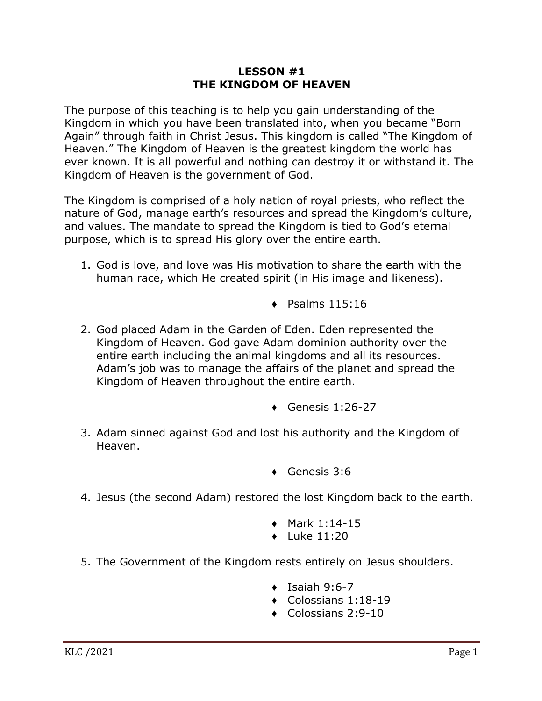## **LESSON #1 THE KINGDOM OF HEAVEN**

The purpose of this teaching is to help you gain understanding of the Kingdom in which you have been translated into, when you became "Born Again" through faith in Christ Jesus. This kingdom is called "The Kingdom of Heaven." The Kingdom of Heaven is the greatest kingdom the world has ever known. It is all powerful and nothing can destroy it or withstand it. The Kingdom of Heaven is the government of God.

The Kingdom is comprised of a holy nation of royal priests, who reflect the nature of God, manage earth's resources and spread the Kingdom's culture, and values. The mandate to spread the Kingdom is tied to God's eternal purpose, which is to spread His glory over the entire earth.

- 1. God is love, and love was His motivation to share the earth with the human race, which He created spirit (in His image and likeness).
	- $\triangleleft$  Psalms 115:16
- 2. God placed Adam in the Garden of Eden. Eden represented the Kingdom of Heaven. God gave Adam dominion authority over the entire earth including the animal kingdoms and all its resources. Adam's job was to manage the affairs of the planet and spread the Kingdom of Heaven throughout the entire earth.
	- $\leftarrow$  Genesis 1:26-27
- 3. Adam sinned against God and lost his authority and the Kingdom of Heaven.
	- ♦ Genesis 3:6
- 4. Jesus (the second Adam) restored the lost Kingdom back to the earth.
	- $\bullet$  Mark 1:14-15
	- $\bullet$  Luke 11:20
- 5. The Government of the Kingdom rests entirely on Jesus shoulders.
	- $\bullet$  Isaiah 9:6-7
	- ♦ Colossians 1:18-19
	- ♦ Colossians 2:9-10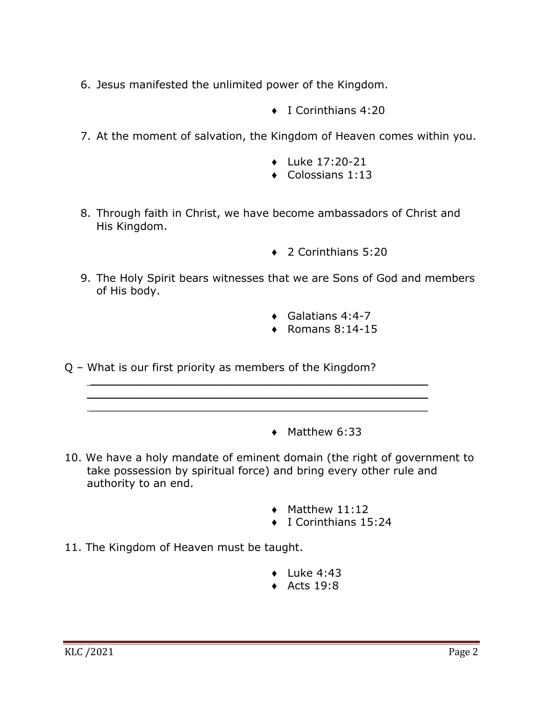- 6. Jesus manifested the unlimited power of the Kingdom.
	- ♦ I Corinthians 4:20
- 7. At the moment of salvation, the Kingdom of Heaven comes within you.
	- ♦ Luke 17:20-21
	- $\triangleleft$  Colossians 1:13
- 8. Through faith in Christ, we have become ambassadors of Christ and His Kingdom.
	- ♦ 2 Corinthians 5:20
- 9. The Holy Spirit bears witnesses that we are Sons of God and members of His body.
	- $\leftrightarrow$  Galatians 4:4-7
	- $\triangleleft$  Romans 8:14-15

Q – What is our first priority as members of the Kingdom?

 $\mathcal{L}_\text{max} = \frac{1}{2} \sum_{i=1}^{n} \frac{1}{2} \sum_{i=1}^{n} \frac{1}{2} \sum_{i=1}^{n} \frac{1}{2} \sum_{i=1}^{n} \frac{1}{2} \sum_{i=1}^{n} \frac{1}{2} \sum_{i=1}^{n} \frac{1}{2} \sum_{i=1}^{n} \frac{1}{2} \sum_{i=1}^{n} \frac{1}{2} \sum_{i=1}^{n} \frac{1}{2} \sum_{i=1}^{n} \frac{1}{2} \sum_{i=1}^{n} \frac{1}{2} \sum_{i=1}^{n} \frac{1$  $\mathcal{L}_\text{max} = \frac{1}{2} \sum_{i=1}^{n} \frac{1}{2} \sum_{i=1}^{n} \frac{1}{2} \sum_{i=1}^{n} \frac{1}{2} \sum_{i=1}^{n} \frac{1}{2} \sum_{i=1}^{n} \frac{1}{2} \sum_{i=1}^{n} \frac{1}{2} \sum_{i=1}^{n} \frac{1}{2} \sum_{i=1}^{n} \frac{1}{2} \sum_{i=1}^{n} \frac{1}{2} \sum_{i=1}^{n} \frac{1}{2} \sum_{i=1}^{n} \frac{1}{2} \sum_{i=1}^{n} \frac{1$ 

- ♦ Matthew 6:33
- 10. We have a holy mandate of eminent domain (the right of government to take possession by spiritual force) and bring every other rule and authority to an end.
	- $\blacklozenge$  Matthew 11:12
	- ♦ I Corinthians 15:24
- 11. The Kingdom of Heaven must be taught.
	- $\bullet$  Luke 4:43
	- $\triangle$  Acts 19:8